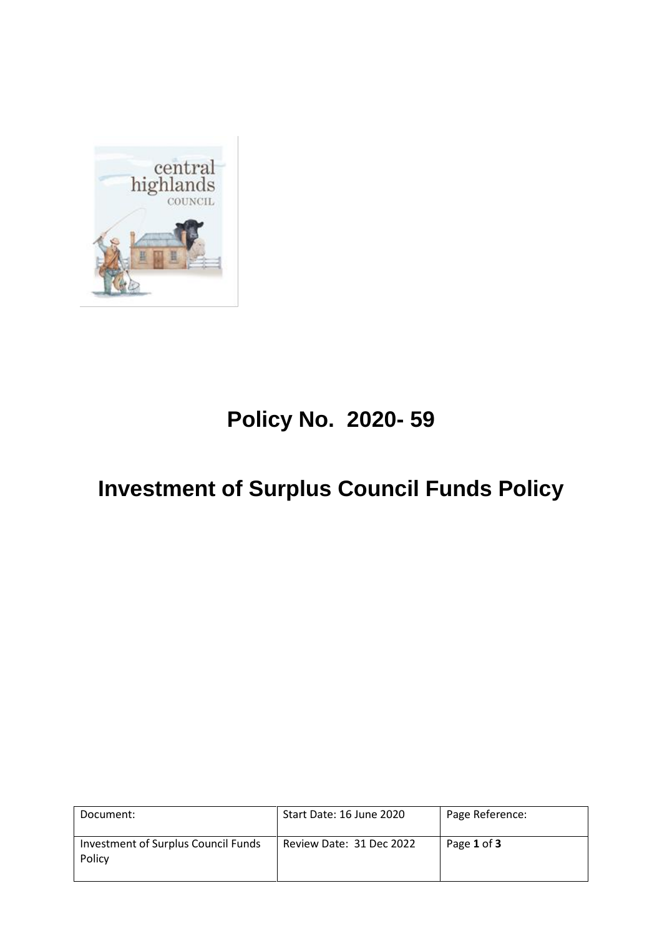

# **Policy No. 2020- 59**

## **Investment of Surplus Council Funds Policy**

| Document:                                     | Start Date: 16 June 2020 | Page Reference: |
|-----------------------------------------------|--------------------------|-----------------|
| Investment of Surplus Council Funds<br>Policy | Review Date: 31 Dec 2022 | Page 1 of 3     |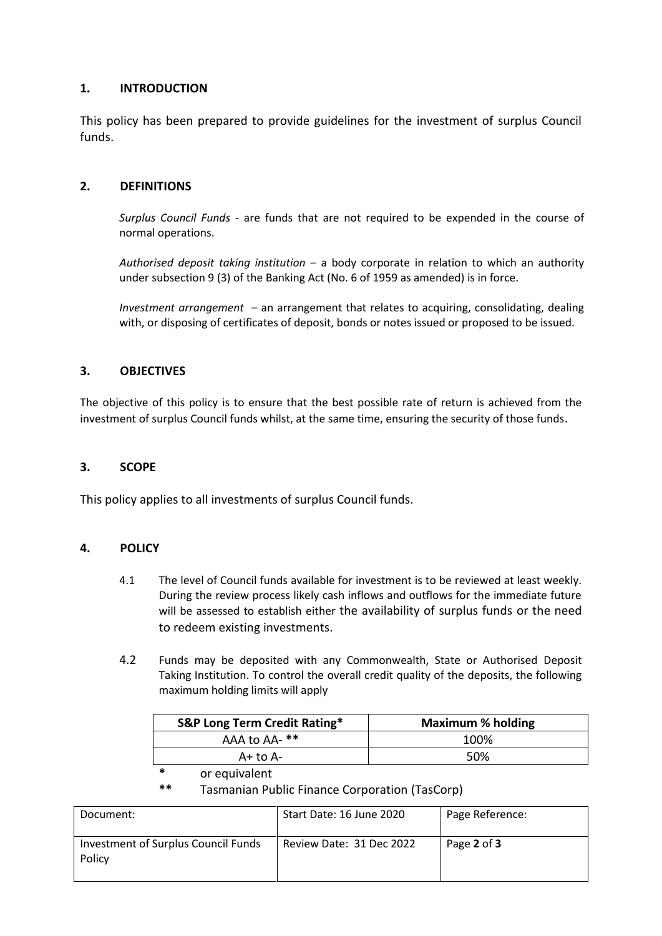## **1. INTRODUCTION**

This policy has been prepared to provide guidelines for the investment of surplus Council funds.

### **2. DEFINITIONS**

*Surplus Council Funds* - are funds that are not required to be expended in the course of normal operations.

*Authorised deposit taking institution* – a body corporate in relation to which an authority under subsection 9 (3) of the Banking Act (No. 6 of 1959 as amended) is in force.

*Investment arrangement* – an arrangement that relates to acquiring, consolidating, dealing with, or disposing of certificates of deposit, bonds or notes issued or proposed to be issued.

### **3. OBJECTIVES**

The objective of this policy is to ensure that the best possible rate of return is achieved from the investment of surplus Council funds whilst, at the same time, ensuring the security of those funds.

#### **3. SCOPE**

This policy applies to all investments of surplus Council funds.

#### **4. POLICY**

- 4.1 The level of Council funds available for investment is to be reviewed at least weekly. During the review process likely cash inflows and outflows for the immediate future will be assessed to establish either the availability of surplus funds or the need to redeem existing investments.
- 4.2 Funds may be deposited with any Commonwealth, State or Authorised Deposit Taking Institution. To control the overall credit quality of the deposits, the following maximum holding limits will apply

| <b>S&amp;P Long Term Credit Rating*</b> | <b>Maximum % holding</b> |
|-----------------------------------------|--------------------------|
| AAA to AA- **                           | 100%                     |
| $A+$ to $A-$                            | 50%                      |

**\*** or equivalent

**\*\*** Tasmanian Public Finance Corporation (TasCorp)

| Document:                                     | Start Date: 16 June 2020 | Page Reference: |
|-----------------------------------------------|--------------------------|-----------------|
| Investment of Surplus Council Funds<br>Policy | Review Date: 31 Dec 2022 | Page 2 of 3     |